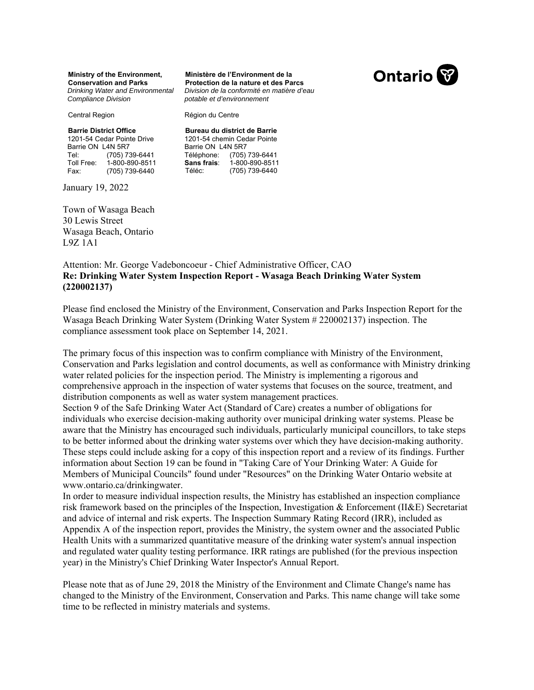**Ministry of the Environment, Conservation and Parks**  *Drinking Water and Environmental Compliance Division* 

Central Region

Région du Centre

**Barrie District Office**  1201-54 Cedar Pointe Drive Barrie ON L4N 5R7 Tel: (705) 739-6441<br>Toll Free: 1-800-890-8511 Toll Free: 1-800-890-8511<br>Fax: (705) 739-6440 (705) 739-6440

January 19, 2022

Town of Wasaga Beach 30 Lewis Street Wasaga Beach, Ontario L9Z 1A1

**Bureau du district de Barrie**  1201-54 chemin Cedar Pointe Barrie ON L4N 5R7 Téléphone: (705) 739-6441 **Sans frais**: 1-800-890-8511<br>Téléc: (705) 739-6440 (705) 739-6440

*potable et d'environnement* 

**Ministère de l'Environment de la Protection de la nature et des Parcs**  *Division de la conformité en matière d'eau* 

### Attention: Mr. George Vadeboncoeur - Chief Administrative Officer, CAO **Re: Drinking Water System Inspection Report - Wasaga Beach Drinking Water System (220002137)**

Please find enclosed the Ministry of the Environment, Conservation and Parks Inspection Report for the Wasaga Beach Drinking Water System (Drinking Water System # 220002137) inspection. The compliance assessment took place on September 14, 2021.

The primary focus of this inspection was to confirm compliance with Ministry of the Environment, Conservation and Parks legislation and control documents, as well as conformance with Ministry drinking water related policies for the inspection period. The Ministry is implementing a rigorous and comprehensive approach in the inspection of water systems that focuses on the source, treatment, and distribution components as well as water system management practices.

Section 9 of the Safe Drinking Water Act (Standard of Care) creates a number of obligations for individuals who exercise decision-making authority over municipal drinking water systems. Please be aware that the Ministry has encouraged such individuals, particularly municipal councillors, to take steps to be better informed about the drinking water systems over which they have decision-making authority. These steps could include asking for a copy of this inspection report and a review of its findings. Further information about Section 19 can be found in "Taking Care of Your Drinking Water: A Guide for Members of Municipal Councils" found under "Resources" on the Drinking Water Ontario website at www.ontario.ca/drinkingwater.

In order to measure individual inspection results, the Ministry has established an inspection compliance risk framework based on the principles of the Inspection, Investigation & Enforcement (II&E) Secretariat and advice of internal and risk experts. The Inspection Summary Rating Record (IRR), included as Appendix A of the inspection report, provides the Ministry, the system owner and the associated Public Health Units with a summarized quantitative measure of the drinking water system's annual inspection and regulated water quality testing performance. IRR ratings are published (for the previous inspection year) in the Ministry's Chief Drinking Water Inspector's Annual Report.

Please note that as of June 29, 2018 the Ministry of the Environment and Climate Change's name has changed to the Ministry of the Environment, Conservation and Parks. This name change will take some time to be reflected in ministry materials and systems.

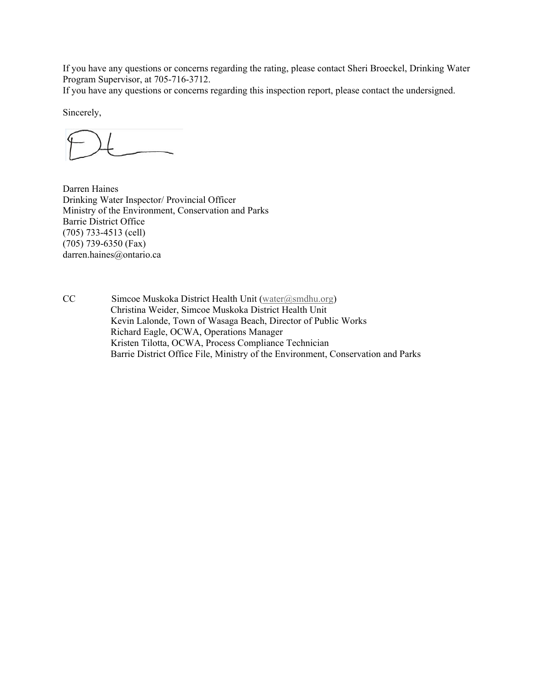If you have any questions or concerns regarding the rating, please contact Sheri Broeckel, Drinking Water Program Supervisor, at 705-716-3712.

If you have any questions or concerns regarding this inspection report, please contact the undersigned.

Sincerely,

Darren Haines Drinking Water Inspector/ Provincial Officer Ministry of the Environment, Conservation and Parks Barrie District Office (705) 733-4513 (cell) (705) 739-6350 (Fax) darren.haines@ontario.ca

CC Simcoe Muskoka District Health Unit (water@smdhu.org) Christina Weider, Simcoe Muskoka District Health Unit Kevin Lalonde, Town of Wasaga Beach, Director of Public Works Richard Eagle, OCWA, Operations Manager Kristen Tilotta, OCWA, Process Compliance Technician Barrie District Office File, Ministry of the Environment, Conservation and Parks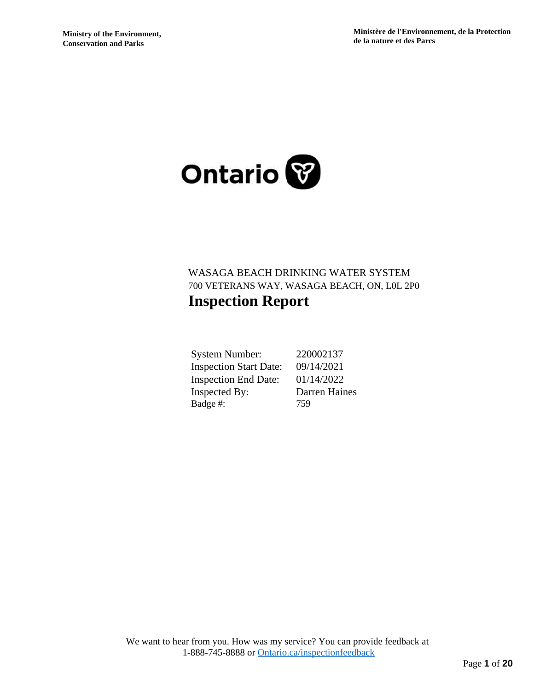

# WASAGA BEACH DRINKING WATER SYSTEM 700 VETERANS WAY, WASAGA BEACH, ON, L0L 2P0 **Inspection Report**

| <b>System Number:</b>         | 220002137     |
|-------------------------------|---------------|
| <b>Inspection Start Date:</b> | 09/14/2021    |
| <b>Inspection End Date:</b>   | 01/14/2022    |
| <b>Inspected By:</b>          | Darren Haines |
| Badge #:                      | 759           |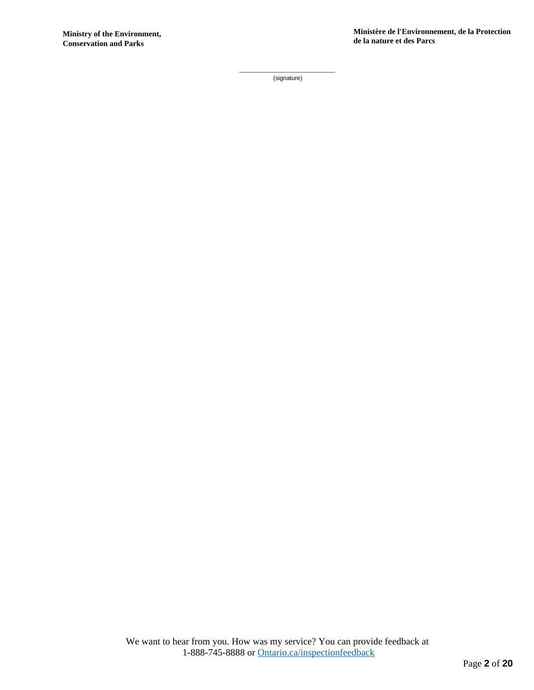\_\_\_\_\_\_\_\_\_\_\_\_\_\_\_\_\_\_ (signature)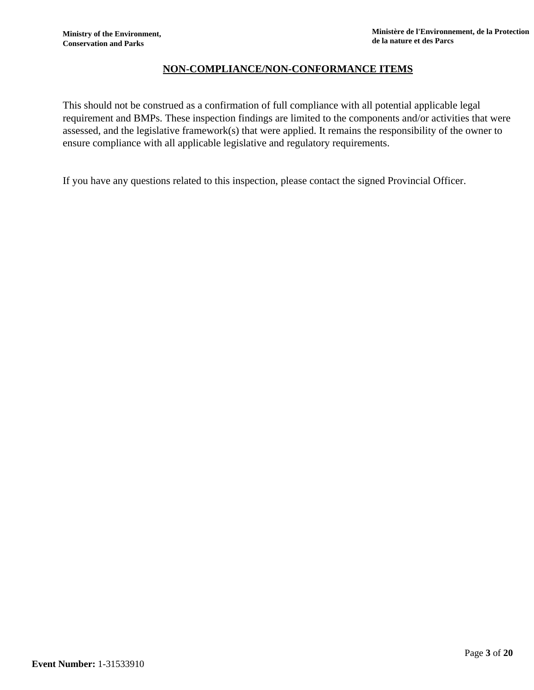# **NON-COMPLIANCE/NON-CONFORMANCE ITEMS**

This should not be construed as a confirmation of full compliance with all potential applicable legal requirement and BMPs. These inspection findings are limited to the components and/or activities that were assessed, and the legislative framework(s) that were applied. It remains the responsibility of the owner to ensure compliance with all applicable legislative and regulatory requirements.

If you have any questions related to this inspection, please contact the signed Provincial Officer.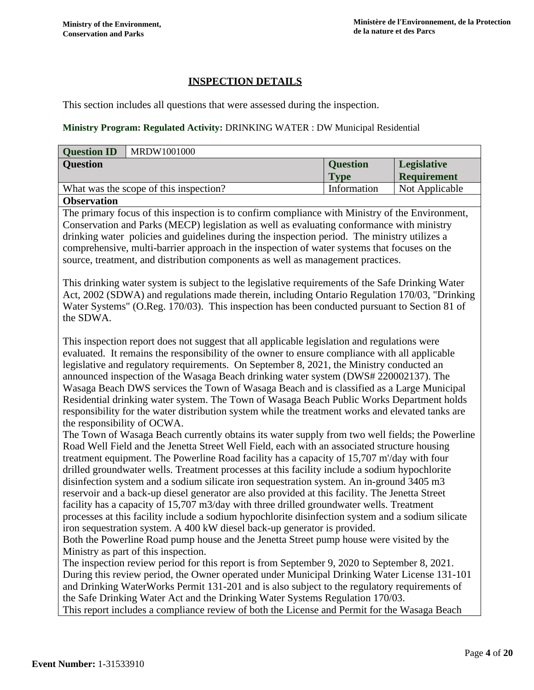# **INSPECTION DETAILS**

This section includes all questions that were assessed during the inspection.

## **Ministry Program: Regulated Activity:** DRINKING WATER : DW Municipal Residential

| MRDW1001000<br><b>Question ID</b>                                                               |                 |                    |
|-------------------------------------------------------------------------------------------------|-----------------|--------------------|
| <b>Question</b>                                                                                 | <b>Question</b> | <b>Legislative</b> |
|                                                                                                 | <b>Type</b>     | Requirement        |
| What was the scope of this inspection?                                                          | Information     | Not Applicable     |
| <b>Observation</b>                                                                              |                 |                    |
| The primary focus of this inspection is to confirm compliance with Ministry of the Environment, |                 |                    |

Conservation and Parks (MECP) legislation as well as evaluating conformance with ministry drinking water policies and guidelines during the inspection period. The ministry utilizes a comprehensive, multi-barrier approach in the inspection of water systems that focuses on the source, treatment, and distribution components as well as management practices.

This drinking water system is subject to the legislative requirements of the Safe Drinking Water Act, 2002 (SDWA) and regulations made therein, including Ontario Regulation 170/03, "Drinking Water Systems" (O.Reg. 170/03). This inspection has been conducted pursuant to Section 81 of the SDWA.

This inspection report does not suggest that all applicable legislation and regulations were evaluated. It remains the responsibility of the owner to ensure compliance with all applicable legislative and regulatory requirements. On September 8, 2021, the Ministry conducted an announced inspection of the Wasaga Beach drinking water system (DWS# 220002137). The Wasaga Beach DWS services the Town of Wasaga Beach and is classified as a Large Municipal Residential drinking water system. The Town of Wasaga Beach Public Works Department holds responsibility for the water distribution system while the treatment works and elevated tanks are the responsibility of OCWA.

The Town of Wasaga Beach currently obtains its water supply from two well fields; the Powerline Road Well Field and the Jenetta Street Well Field, each with an associated structure housing treatment equipment. The Powerline Road facility has a capacity of 15,707 m'/day with four drilled groundwater wells. Treatment processes at this facility include a sodium hypochlorite disinfection system and a sodium silicate iron sequestration system. An in-ground 3405 m3 reservoir and a back-up diesel generator are also provided at this facility. The Jenetta Street facility has a capacity of 15,707 m3/day with three drilled groundwater wells. Treatment processes at this facility include a sodium hypochlorite disinfection system and a sodium silicate iron sequestration system. A 400 kW diesel back-up generator is provided.

Both the Powerline Road pump house and the Jenetta Street pump house were visited by the Ministry as part of this inspection.

The inspection review period for this report is from September 9, 2020 to September 8, 2021. During this review period, the Owner operated under Municipal Drinking Water License 131-101 and Drinking WaterWorks Permit 131-201 and is also subject to the regulatory requirements of the Safe Drinking Water Act and the Drinking Water Systems Regulation 170/03. This report includes a compliance review of both the License and Permit for the Wasaga Beach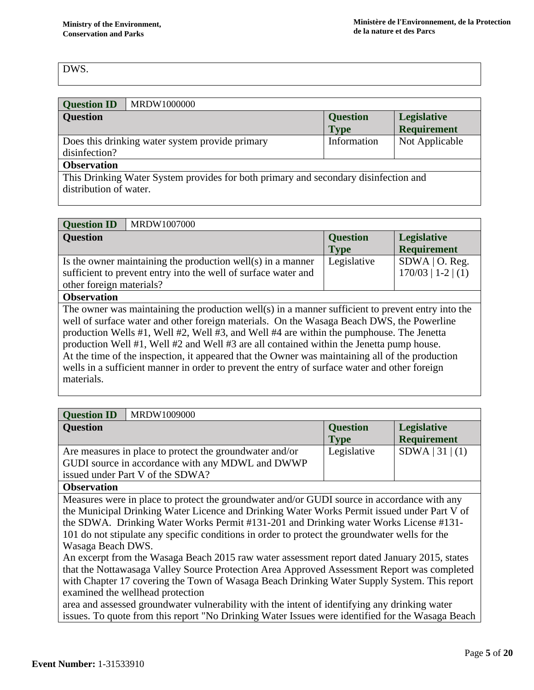# DWS.

| <b>Question ID</b>                                                                  | MRDW1000000                                     |                 |                    |
|-------------------------------------------------------------------------------------|-------------------------------------------------|-----------------|--------------------|
| <b>Question</b>                                                                     |                                                 | <b>Question</b> | <b>Legislative</b> |
|                                                                                     |                                                 | <b>Type</b>     | <b>Requirement</b> |
|                                                                                     | Does this drinking water system provide primary | Information     | Not Applicable     |
| disinfection?                                                                       |                                                 |                 |                    |
| <b>Observation</b>                                                                  |                                                 |                 |                    |
| This Drinking Water System provides for both primary and secondary disinfection and |                                                 |                 |                    |
| distribution of water.                                                              |                                                 |                 |                    |

| <b>Question ID</b>                                                                            | MRDW1007000                                                                                       |                                |                                          |
|-----------------------------------------------------------------------------------------------|---------------------------------------------------------------------------------------------------|--------------------------------|------------------------------------------|
| <b>Question</b>                                                                               |                                                                                                   | <b>Question</b><br><b>Type</b> | <b>Legislative</b><br><b>Requirement</b> |
|                                                                                               | Is the owner maintaining the production well(s) in a manner                                       | Legislative                    | $SDWA$   O. Reg.                         |
|                                                                                               | sufficient to prevent entry into the well of surface water and                                    |                                | $170/03$   1-2   (1)                     |
| other foreign materials?                                                                      |                                                                                                   |                                |                                          |
| <b>Observation</b>                                                                            |                                                                                                   |                                |                                          |
|                                                                                               | The owner was maintaining the production well(s) in a manner sufficient to prevent entry into the |                                |                                          |
|                                                                                               | well of surface water and other foreign materials. On the Wasaga Beach DWS, the Powerline         |                                |                                          |
|                                                                                               | production Wells #1, Well #2, Well #3, and Well #4 are within the pumphouse. The Jenetta          |                                |                                          |
|                                                                                               | production Well #1, Well #2 and Well #3 are all contained within the Jenetta pump house.          |                                |                                          |
|                                                                                               | At the time of the inspection, it appeared that the Owner was maintaining all of the production   |                                |                                          |
| wells in a sufficient manner in order to prevent the entry of surface water and other foreign |                                                                                                   |                                |                                          |
| materials.                                                                                    |                                                                                                   |                                |                                          |

| <b>Question ID</b><br>MRDW1009000                                                                                                                                                                                                                                                                                                                                                                                                                                                                                                   |                                |                                          |
|-------------------------------------------------------------------------------------------------------------------------------------------------------------------------------------------------------------------------------------------------------------------------------------------------------------------------------------------------------------------------------------------------------------------------------------------------------------------------------------------------------------------------------------|--------------------------------|------------------------------------------|
| <b>Question</b>                                                                                                                                                                                                                                                                                                                                                                                                                                                                                                                     | <b>Question</b><br><b>Type</b> | <b>Legislative</b><br><b>Requirement</b> |
| Are measures in place to protect the groundwater and/or<br>GUDI source in accordance with any MDWL and DWWP<br>issued under Part V of the SDWA?                                                                                                                                                                                                                                                                                                                                                                                     | Legislative                    | SDWA   31   (1)                          |
| <b>Observation</b>                                                                                                                                                                                                                                                                                                                                                                                                                                                                                                                  |                                |                                          |
| Measures were in place to protect the groundwater and/or GUDI source in accordance with any<br>the Municipal Drinking Water Licence and Drinking Water Works Permit issued under Part V of<br>the SDWA. Drinking Water Works Permit #131-201 and Drinking water Works License #131-<br>101 do not stipulate any specific conditions in order to protect the groundwater wells for the<br>Wasaga Beach DWS.                                                                                                                          |                                |                                          |
| An excerpt from the Wasaga Beach 2015 raw water assessment report dated January 2015, states<br>that the Nottawasaga Valley Source Protection Area Approved Assessment Report was completed<br>with Chapter 17 covering the Town of Wasaga Beach Drinking Water Supply System. This report<br>examined the wellhead protection<br>area and assessed groundwater vulnerability with the intent of identifying any drinking water<br>issues. To quote from this report "No Drinking Water Issues were identified for the Wasaga Beach |                                |                                          |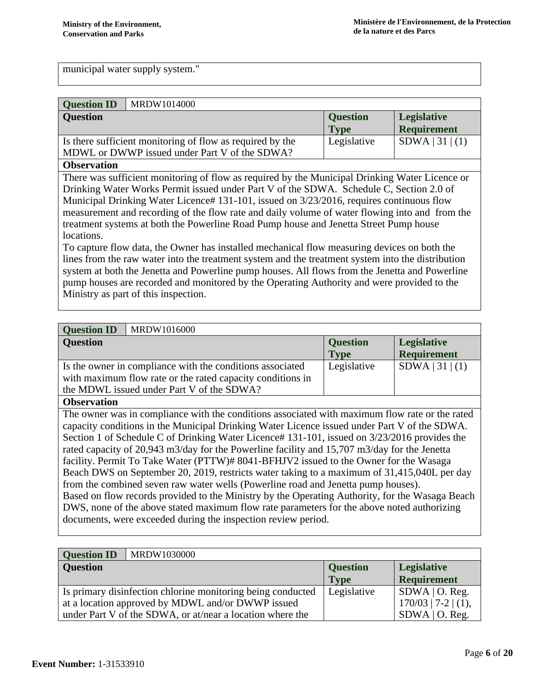municipal water supply system."

| <b>Question ID</b> | MRDW1014000                                               |                 |                    |
|--------------------|-----------------------------------------------------------|-----------------|--------------------|
| <b>Question</b>    |                                                           | <b>Question</b> | <b>Legislative</b> |
|                    |                                                           | <b>Type</b>     | Requirement        |
|                    | Is there sufficient monitoring of flow as required by the | Legislative     | SDWA 31 (1)        |
|                    | MDWL or DWWP issued under Part V of the SDWA?             |                 |                    |

### **Observation**

There was sufficient monitoring of flow as required by the Municipal Drinking Water Licence or Drinking Water Works Permit issued under Part V of the SDWA. Schedule C, Section 2.0 of Municipal Drinking Water Licence# 131-101, issued on 3/23/2016, requires continuous flow measurement and recording of the flow rate and daily volume of water flowing into and from the treatment systems at both the Powerline Road Pump house and Jenetta Street Pump house locations.

To capture flow data, the Owner has installed mechanical flow measuring devices on both the lines from the raw water into the treatment system and the treatment system into the distribution system at both the Jenetta and Powerline pump houses. All flows from the Jenetta and Powerline pump houses are recorded and monitored by the Operating Authority and were provided to the Ministry as part of this inspection.

| <b>Question ID</b>                                                                              | MRDW1016000                                                                                    |                 |                    |
|-------------------------------------------------------------------------------------------------|------------------------------------------------------------------------------------------------|-----------------|--------------------|
| <b>Question</b>                                                                                 |                                                                                                | <b>Question</b> | Legislative        |
|                                                                                                 |                                                                                                | Type            | <b>Requirement</b> |
|                                                                                                 | Is the owner in compliance with the conditions associated                                      | Legislative     | SDWA   31   (1)    |
|                                                                                                 | with maximum flow rate or the rated capacity conditions in                                     |                 |                    |
|                                                                                                 | the MDWL issued under Part V of the SDWA?                                                      |                 |                    |
| <b>Observation</b>                                                                              |                                                                                                |                 |                    |
|                                                                                                 | The owner was in compliance with the conditions associated with maximum flow rate or the rated |                 |                    |
|                                                                                                 | capacity conditions in the Municipal Drinking Water Licence issued under Part V of the SDWA.   |                 |                    |
| Section 1 of Schedule C of Drinking Water Licence# 131-101, issued on 3/23/2016 provides the    |                                                                                                |                 |                    |
| rated capacity of 20,943 m3/day for the Powerline facility and 15,707 m3/day for the Jenetta    |                                                                                                |                 |                    |
| facility. Permit To Take Water (PTTW)# 8041-BFHJV2 issued to the Owner for the Wasaga           |                                                                                                |                 |                    |
| Beach DWS on September 20, 2019, restricts water taking to a maximum of 31,415,040L per day     |                                                                                                |                 |                    |
| from the combined seven raw water wells (Powerline road and Jenetta pump houses).               |                                                                                                |                 |                    |
| Based on flow records provided to the Ministry by the Operating Authority, for the Wasaga Beach |                                                                                                |                 |                    |
| DWS, none of the above stated maximum flow rate parameters for the above noted authorizing      |                                                                                                |                 |                    |
|                                                                                                 | documents, were exceeded during the inspection review period.                                  |                 |                    |
|                                                                                                 |                                                                                                |                 |                    |

| <b>Question ID</b> | MRDW1030000                                                 |                 |                       |
|--------------------|-------------------------------------------------------------|-----------------|-----------------------|
| <b>Question</b>    |                                                             | <b>Question</b> | <b>Legislative</b>    |
|                    |                                                             | <b>Type</b>     | <b>Requirement</b>    |
|                    | Is primary disinfection chlorine monitoring being conducted | Legislative     | $SDWA$   O. Reg.      |
|                    | at a location approved by MDWL and/or DWWP issued           |                 | $170/03$   7-2   (1), |
|                    | under Part V of the SDWA, or at/near a location where the   |                 | $SDWA$   O. Reg.      |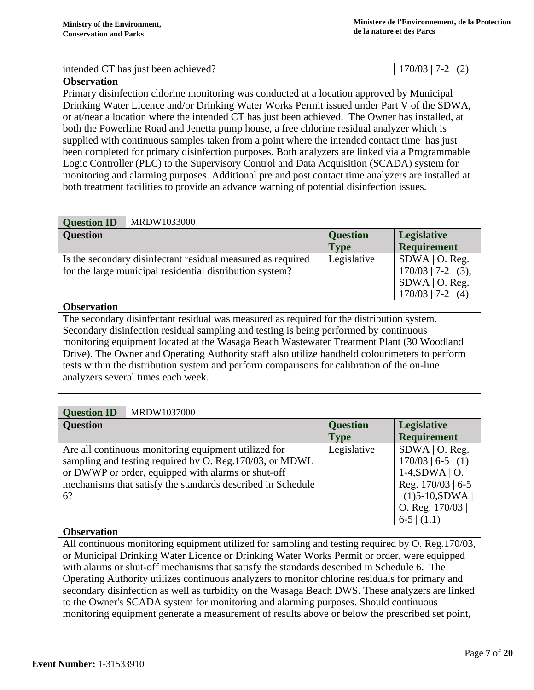| intended CT has just been achieved? | 17.7 |
|-------------------------------------|------|
| <b>Observation</b>                  |      |

Primary disinfection chlorine monitoring was conducted at a location approved by Municipal Drinking Water Licence and/or Drinking Water Works Permit issued under Part V of the SDWA, or at/near a location where the intended CT has just been achieved. The Owner has installed, at both the Powerline Road and Jenetta pump house, a free chlorine residual analyzer which is supplied with continuous samples taken from a point where the intended contact time has just been completed for primary disinfection purposes. Both analyzers are linked via a Programmable Logic Controller (PLC) to the Supervisory Control and Data Acquisition (SCADA) system for monitoring and alarming purposes. Additional pre and post contact time analyzers are installed at both treatment facilities to provide an advance warning of potential disinfection issues.

| <b>Question ID</b> | MRDW1033000                                                 |                 |                       |
|--------------------|-------------------------------------------------------------|-----------------|-----------------------|
| <b>Question</b>    |                                                             | <b>Question</b> | <b>Legislative</b>    |
|                    |                                                             | <b>Type</b>     | Requirement           |
|                    | Is the secondary disinfectant residual measured as required | Legislative     | $SDWA$   O. Reg.      |
|                    | for the large municipal residential distribution system?    |                 | $170/03$   7-2   (3), |
|                    |                                                             |                 | $SDWA$   O. Reg.      |
|                    |                                                             |                 | $170/03$   7-2   (4)  |

### **Observation**

The secondary disinfectant residual was measured as required for the distribution system. Secondary disinfection residual sampling and testing is being performed by continuous monitoring equipment located at the Wasaga Beach Wastewater Treatment Plant (30 Woodland Drive). The Owner and Operating Authority staff also utilize handheld colourimeters to perform tests within the distribution system and perform comparisons for calibration of the on-line analyzers several times each week.

| MRDW1037000<br><b>Question ID</b>                                                                                                                                                                                                           |                                |                                                                                                                                              |
|---------------------------------------------------------------------------------------------------------------------------------------------------------------------------------------------------------------------------------------------|--------------------------------|----------------------------------------------------------------------------------------------------------------------------------------------|
| <b>Question</b>                                                                                                                                                                                                                             | <b>Question</b><br><b>Type</b> | <b>Legislative</b><br><b>Requirement</b>                                                                                                     |
| Are all continuous monitoring equipment utilized for<br>sampling and testing required by O. Reg. 170/03, or MDWL<br>or DWWP or order, equipped with alarms or shut-off<br>mechanisms that satisfy the standards described in Schedule<br>6? | Legislative                    | $SDWA$   O. Reg.<br>$170/03$   6-5   (1)<br>$1-4, SDWA \mid O.$<br>Reg. 170/03   6-5<br>$ (1)5-10, SDWA $<br>O. Reg. $170/03$<br>$6-5$ (1.1) |

# **Observation**

All continuous monitoring equipment utilized for sampling and testing required by O. Reg.170/03, or Municipal Drinking Water Licence or Drinking Water Works Permit or order, were equipped with alarms or shut-off mechanisms that satisfy the standards described in Schedule 6. The Operating Authority utilizes continuous analyzers to monitor chlorine residuals for primary and secondary disinfection as well as turbidity on the Wasaga Beach DWS. These analyzers are linked to the Owner's SCADA system for monitoring and alarming purposes. Should continuous monitoring equipment generate a measurement of results above or below the prescribed set point,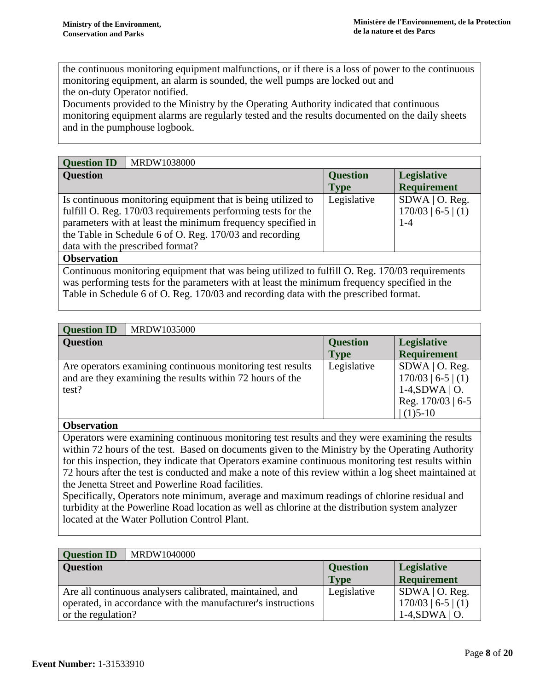the continuous monitoring equipment malfunctions, or if there is a loss of power to the continuous monitoring equipment, an alarm is sounded, the well pumps are locked out and the on-duty Operator notified.

Documents provided to the Ministry by the Operating Authority indicated that continuous monitoring equipment alarms are regularly tested and the results documented on the daily sheets and in the pumphouse logbook.

| <b>Question ID</b> | MRDW1038000                                                                                    |                 |                      |
|--------------------|------------------------------------------------------------------------------------------------|-----------------|----------------------|
| <b>Question</b>    |                                                                                                | <b>Question</b> | <b>Legislative</b>   |
|                    |                                                                                                | <b>Type</b>     | <b>Requirement</b>   |
|                    | Is continuous monitoring equipment that is being utilized to                                   | Legislative     | $SDWA$   O. Reg.     |
|                    | fulfill O. Reg. 170/03 requirements performing tests for the                                   |                 | $170/03$   6-5   (1) |
|                    | parameters with at least the minimum frequency specified in                                    |                 | $1 - 4$              |
|                    | the Table in Schedule 6 of O. Reg. 170/03 and recording                                        |                 |                      |
|                    | data with the prescribed format?                                                               |                 |                      |
| <b>Observation</b> |                                                                                                |                 |                      |
|                    | Continuous monitoring equipment that was being utilized to fulfill O. Reg. 170/03 requirements |                 |                      |

Continuous monitoring equipment that was being utilized to fulfill O. Reg. 170/03 requirements was performing tests for the parameters with at least the minimum frequency specified in the Table in Schedule 6 of O. Reg. 170/03 and recording data with the prescribed format.

| MRDW1035000<br><b>Question ID</b>                                                                                                |                 |                                                                                                     |
|----------------------------------------------------------------------------------------------------------------------------------|-----------------|-----------------------------------------------------------------------------------------------------|
| <b>Question</b>                                                                                                                  | <b>Question</b> | <b>Legislative</b>                                                                                  |
|                                                                                                                                  | <b>Type</b>     | <b>Requirement</b>                                                                                  |
| Are operators examining continuous monitoring test results<br>and are they examining the results within 72 hours of the<br>test? | Legislative     | $SDWA$   O. Reg.<br>$170/03$   6-5   (1)<br>$1-4, SDWA \mid O.$<br>Reg. $170/03$   6-5<br>$(1)5-10$ |

### **Observation**

Operators were examining continuous monitoring test results and they were examining the results within 72 hours of the test. Based on documents given to the Ministry by the Operating Authority for this inspection, they indicate that Operators examine continuous monitoring test results within 72 hours after the test is conducted and make a note of this review within a log sheet maintained at the Jenetta Street and Powerline Road facilities.

Specifically, Operators note minimum, average and maximum readings of chlorine residual and turbidity at the Powerline Road location as well as chlorine at the distribution system analyzer located at the Water Pollution Control Plant.

| <b>Question ID</b> | MRDW1040000                                                  |                 |                      |
|--------------------|--------------------------------------------------------------|-----------------|----------------------|
| <b>Question</b>    |                                                              | <b>Question</b> | <b>Legislative</b>   |
|                    |                                                              | <b>Type</b>     | Requirement          |
|                    | Are all continuous analysers calibrated, maintained, and     | Legislative     | $SDWA$   O. Reg.     |
|                    | operated, in accordance with the manufacturer's instructions |                 | $170/03$   6-5   (1) |
| or the regulation? |                                                              |                 | $1-4$ , SDWA   O.    |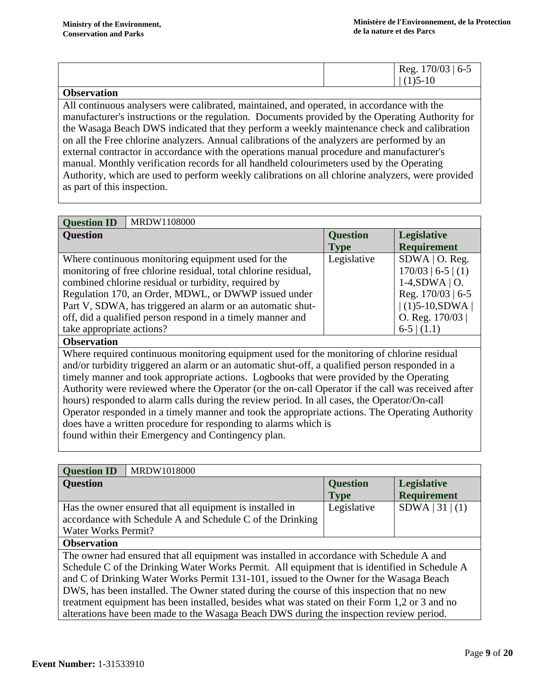|  | $70/03$   6-5<br>$\log_{1.1}$ |
|--|-------------------------------|
|  | $\mathbf{v}$<br>17            |

### **Observation**

All continuous analysers were calibrated, maintained, and operated, in accordance with the manufacturer's instructions or the regulation. Documents provided by the Operating Authority for the Wasaga Beach DWS indicated that they perform a weekly maintenance check and calibration on all the Free chlorine analyzers. Annual calibrations of the analyzers are performed by an external contractor in accordance with the operations manual procedure and manufacturer's manual. Monthly verification records for all handheld colourimeters used by the Operating Authority, which are used to perform weekly calibrations on all chlorine analyzers, were provided as part of this inspection.

| MRDW1108000<br><b>Question ID</b>                              |                 |                      |
|----------------------------------------------------------------|-----------------|----------------------|
| <b>Question</b>                                                | <b>Question</b> | <b>Legislative</b>   |
|                                                                | <b>Type</b>     | <b>Requirement</b>   |
| Where continuous monitoring equipment used for the             | Legislative     | $SDWA$   O. Reg.     |
| monitoring of free chlorine residual, total chlorine residual, |                 | $170/03$   6-5   (1) |
| combined chlorine residual or turbidity, required by           |                 | $1-4$ , SDWA   O.    |
| Regulation 170, an Order, MDWL, or DWWP issued under           |                 | Reg. 170/03   6-5    |
| Part V, SDWA, has triggered an alarm or an automatic shut-     |                 | $(1)5-10,SDWA$       |
| off, did a qualified person respond in a timely manner and     |                 | O. Reg. $170/03$     |
| take appropriate actions?                                      |                 | $6-5$ (1.1)          |

### **Observation**

Where required continuous monitoring equipment used for the monitoring of chlorine residual and/or turbidity triggered an alarm or an automatic shut-off, a qualified person responded in a timely manner and took appropriate actions. Logbooks that were provided by the Operating Authority were reviewed where the Operator (or the on-call Operator if the call was received after hours) responded to alarm calls during the review period. In all cases, the Operator/On-call Operator responded in a timely manner and took the appropriate actions. The Operating Authority does have a written procedure for responding to alarms which is found within their Emergency and Contingency plan.

| MRDW1018000<br><b>Question ID</b>                                                             |  |                 |                    |
|-----------------------------------------------------------------------------------------------|--|-----------------|--------------------|
| <b>Question</b>                                                                               |  | <b>Question</b> | Legislative        |
|                                                                                               |  | <b>Type</b>     | <b>Requirement</b> |
| Has the owner ensured that all equipment is installed in                                      |  | Legislative     | SDWA   31   (1)    |
| accordance with Schedule A and Schedule C of the Drinking                                     |  |                 |                    |
| Water Works Permit?                                                                           |  |                 |                    |
| <b>Observation</b>                                                                            |  |                 |                    |
| The owner had ensured that all equipment was installed in accordance with Schedule A and      |  |                 |                    |
| Schedule C of the Drinking Water Works Permit. All equipment that is identified in Schedule A |  |                 |                    |
| and C of Drinking Water Works Permit 131-101, issued to the Owner for the Wasaga Beach        |  |                 |                    |
| DWS, has been installed. The Owner stated during the course of this inspection that no new    |  |                 |                    |
| treatment equipment has been installed, besides what was stated on their Form 1,2 or 3 and no |  |                 |                    |
| alterations have been made to the Wasaga Beach DWS during the inspection review period.       |  |                 |                    |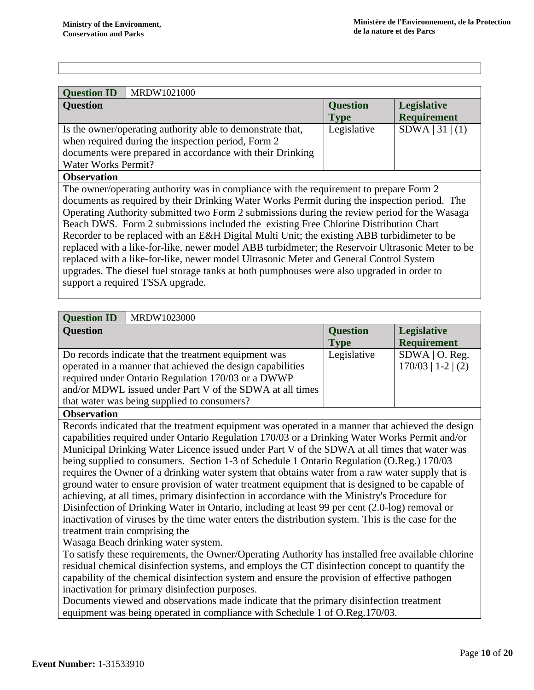| <b>Question ID</b><br>MRDW1021000                                                                                |                 |                    |  |
|------------------------------------------------------------------------------------------------------------------|-----------------|--------------------|--|
| <b>Question</b>                                                                                                  | <b>Question</b> | <b>Legislative</b> |  |
|                                                                                                                  | <b>Type</b>     | <b>Requirement</b> |  |
| Is the owner/operating authority able to demonstrate that,<br>when required during the inspection period, Form 2 | Legislative     | SDWA   31   (1)    |  |
| documents were prepared in accordance with their Drinking                                                        |                 |                    |  |
|                                                                                                                  |                 |                    |  |
| Water Works Permit?                                                                                              |                 |                    |  |
| <b>Observation</b>                                                                                               |                 |                    |  |
| The owner/operating authority was in compliance with the requirement to prepare Form 2                           |                 |                    |  |
| documents as required by their Drinking Water Works Permit during the inspection period. The                     |                 |                    |  |
| Operating Authority submitted two Form 2 submissions during the review period for the Wasaga                     |                 |                    |  |

Operating Authority submitted two Form 2 submissions during the review period for the Wasaga Beach DWS. Form 2 submissions included the existing Free Chlorine Distribution Chart Recorder to be replaced with an E&H Digital Multi Unit; the existing ABB turbidimeter to be replaced with a like-for-like, newer model ABB turbidmeter; the Reservoir Ultrasonic Meter to be replaced with a like-for-like, newer model Ultrasonic Meter and General Control System upgrades. The diesel fuel storage tanks at both pumphouses were also upgraded in order to support a required TSSA upgrade.

| <b>Question ID</b>       | MRDW1023000                                                |                 |                      |
|--------------------------|------------------------------------------------------------|-----------------|----------------------|
| <b>Question</b>          |                                                            | <b>Question</b> | <b>Legislative</b>   |
|                          |                                                            | <b>Type</b>     | <b>Requirement</b>   |
|                          | Do records indicate that the treatment equipment was       | Legislative     | $SDWA$   O. Reg.     |
|                          | operated in a manner that achieved the design capabilities |                 | $170/03$   1-2   (2) |
|                          | required under Ontario Regulation 170/03 or a DWWP         |                 |                      |
|                          | and/or MDWL issued under Part V of the SDWA at all times   |                 |                      |
|                          | that water was being supplied to consumers?                |                 |                      |
| <i><b>Ohnowation</b></i> |                                                            |                 |                      |

**Observation**

Records indicated that the treatment equipment was operated in a manner that achieved the design capabilities required under Ontario Regulation 170/03 or a Drinking Water Works Permit and/or Municipal Drinking Water Licence issued under Part V of the SDWA at all times that water was being supplied to consumers. Section 1-3 of Schedule 1 Ontario Regulation (O.Reg.) 170/03 requires the Owner of a drinking water system that obtains water from a raw water supply that is ground water to ensure provision of water treatment equipment that is designed to be capable of achieving, at all times, primary disinfection in accordance with the Ministry's Procedure for Disinfection of Drinking Water in Ontario, including at least 99 per cent (2.0-log) removal or inactivation of viruses by the time water enters the distribution system. This is the case for the treatment train comprising the

Wasaga Beach drinking water system.

To satisfy these requirements, the Owner/Operating Authority has installed free available chlorine residual chemical disinfection systems, and employs the CT disinfection concept to quantify the capability of the chemical disinfection system and ensure the provision of effective pathogen inactivation for primary disinfection purposes.

Documents viewed and observations made indicate that the primary disinfection treatment equipment was being operated in compliance with Schedule 1 of O.Reg.170/03.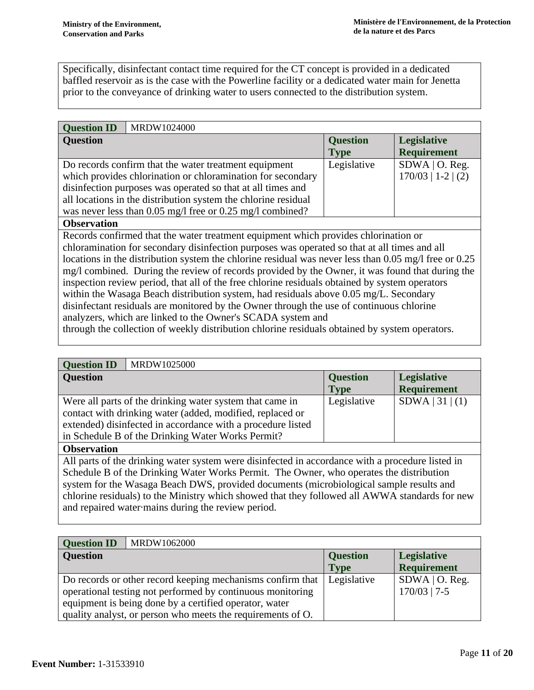Specifically, disinfectant contact time required for the CT concept is provided in a dedicated baffled reservoir as is the case with the Powerline facility or a dedicated water main for Jenetta prior to the conveyance of drinking water to users connected to the distribution system.

| <b>Question ID</b> | MRDW1024000                                                    |                 |                      |
|--------------------|----------------------------------------------------------------|-----------------|----------------------|
| <b>Question</b>    |                                                                | <b>Question</b> | Legislative          |
|                    |                                                                | <b>Type</b>     | <b>Requirement</b>   |
|                    | Do records confirm that the water treatment equipment          | Legislative     | $SDWA$   O. Reg.     |
|                    | which provides chlorination or chloramination for secondary    |                 | $170/03$   1-2   (2) |
|                    | disinfection purposes was operated so that at all times and    |                 |                      |
|                    | all locations in the distribution system the chlorine residual |                 |                      |
|                    | was never less than 0.05 mg/l free or 0.25 mg/l combined?      |                 |                      |

### **Observation**

Records confirmed that the water treatment equipment which provides chlorination or chloramination for secondary disinfection purposes was operated so that at all times and all locations in the distribution system the chlorine residual was never less than 0.05 mg/l free or 0.25 mg/l combined. During the review of records provided by the Owner, it was found that during the inspection review period, that all of the free chlorine residuals obtained by system operators within the Wasaga Beach distribution system, had residuals above 0.05 mg/L. Secondary disinfectant residuals are monitored by the Owner through the use of continuous chlorine analyzers, which are linked to the Owner's SCADA system and

through the collection of weekly distribution chlorine residuals obtained by system operators.

# **Question ID** MRDW1025000

| $\mathbf v$ uvbuvil 11                                      |                 |                    |
|-------------------------------------------------------------|-----------------|--------------------|
| <b>Question</b>                                             | <b>Question</b> | Legislative        |
|                                                             | <b>Type</b>     | <b>Requirement</b> |
| Were all parts of the drinking water system that came in    | Legislative     | SDWA   31   (1)    |
| contact with drinking water (added, modified, replaced or   |                 |                    |
| extended) disinfected in accordance with a procedure listed |                 |                    |
| in Schedule B of the Drinking Water Works Permit?           |                 |                    |

### **Observation**

All parts of the drinking water system were disinfected in accordance with a procedure listed in Schedule B of the Drinking Water Works Permit. The Owner, who operates the distribution system for the Wasaga Beach DWS, provided documents (microbiological sample results and chlorine residuals) to the Ministry which showed that they followed all AWWA standards for new and repaired water·mains during the review period.

| <b>Question ID</b> | MRDW1062000                                                 |                 |                    |
|--------------------|-------------------------------------------------------------|-----------------|--------------------|
| <b>Question</b>    |                                                             | <b>Question</b> | <b>Legislative</b> |
|                    |                                                             | <b>Type</b>     | <b>Requirement</b> |
|                    | Do records or other record keeping mechanisms confirm that  | Legislative     | $SDWA$   O. Reg.   |
|                    | operational testing not performed by continuous monitoring  |                 | $170/03$   7-5     |
|                    | equipment is being done by a certified operator, water      |                 |                    |
|                    | quality analyst, or person who meets the requirements of O. |                 |                    |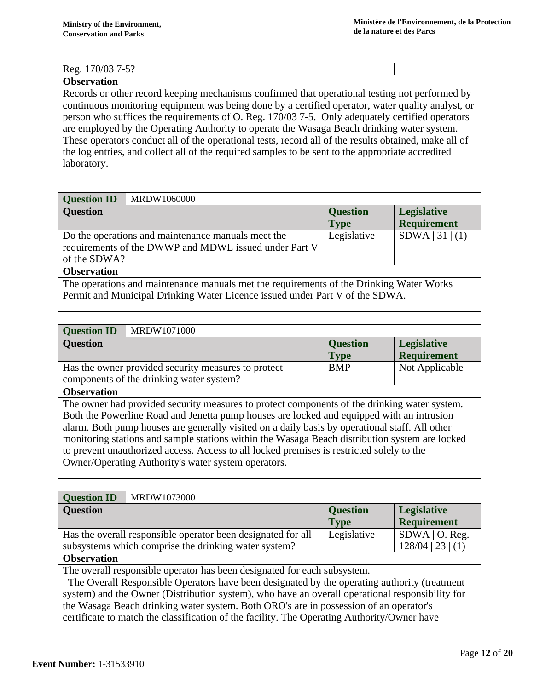# Reg. 170/03 7-5?

## **Observation**

Records or other record keeping mechanisms confirmed that operational testing not performed by continuous monitoring equipment was being done by a certified operator, water quality analyst, or person who suffices the requirements of O. Reg. 170/03 7-5. Only adequately certified operators are employed by the Operating Authority to operate the Wasaga Beach drinking water system. These operators conduct all of the operational tests, record all of the results obtained, make all of the log entries, and collect all of the required samples to be sent to the appropriate accredited laboratory.

| <b>Question ID</b><br>MRDW1060000                                                       |                 |                    |  |
|-----------------------------------------------------------------------------------------|-----------------|--------------------|--|
| <b>Question</b>                                                                         | <b>Question</b> | Legislative        |  |
|                                                                                         | <b>Type</b>     | <b>Requirement</b> |  |
| Do the operations and maintenance manuals meet the                                      | Legislative     | SDWA   31   (1)    |  |
| requirements of the DWWP and MDWL issued under Part V                                   |                 |                    |  |
| of the SDWA?                                                                            |                 |                    |  |
| <b>Observation</b>                                                                      |                 |                    |  |
| The operations and maintenance manuals met the requirements of the Drinking Water Works |                 |                    |  |
| Permit and Municipal Drinking Water Licence issued under Part V of the SDWA.            |                 |                    |  |

# **Question ID** MRDW1071000

| <b>UUESHUIL ID</b><br><b>NUALE WEIGHT</b>                                                      |                 |                    |
|------------------------------------------------------------------------------------------------|-----------------|--------------------|
| <b>Question</b>                                                                                | <b>Question</b> | <b>Legislative</b> |
|                                                                                                | <b>Type</b>     | <b>Requirement</b> |
| Has the owner provided security measures to protect                                            | <b>BMP</b>      | Not Applicable     |
| components of the drinking water system?                                                       |                 |                    |
| <b>Observation</b>                                                                             |                 |                    |
| The owner had provided security measures to protect components of the drinking water system.   |                 |                    |
| Both the Powerline Road and Jenetta pump houses are locked and equipped with an intrusion      |                 |                    |
| alarm. Both pump houses are generally visited on a daily basis by operational staff. All other |                 |                    |
| monitoring stations and sample stations within the Wasaga Beach distribution system are locked |                 |                    |
| to prevent unauthorized access. Access to all locked premises is restricted solely to the      |                 |                    |
| Owner/Operating Authority's water system operators.                                            |                 |                    |
|                                                                                                |                 |                    |

| MRDW1073000<br><b>Question ID</b>                            |                 |                     |
|--------------------------------------------------------------|-----------------|---------------------|
| <b>Question</b>                                              | <b>Question</b> | <b>Legislative</b>  |
|                                                              | <b>Type</b>     | <b>Requirement</b>  |
| Has the overall responsible operator been designated for all | Legislative     | $SDWA$   O. Reg.    |
| subsystems which comprise the drinking water system?         |                 | $128/04$   23   (1) |
| $\mathbf{\Omega}$ . $\mathbf{\Omega}$                        |                 |                     |

### **Observation**

The overall responsible operator has been designated for each subsystem.

 The Overall Responsible Operators have been designated by the operating authority (treatment system) and the Owner (Distribution system), who have an overall operational responsibility for the Wasaga Beach drinking water system. Both ORO's are in possession of an operator's certificate to match the classification of the facility. The Operating Authority/Owner have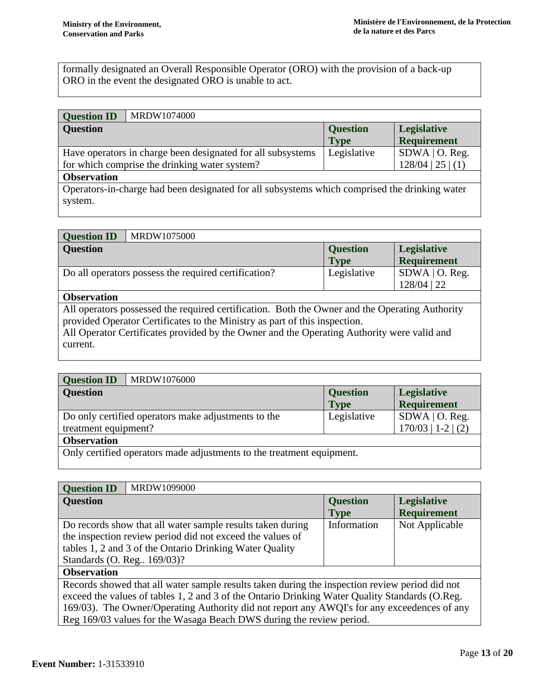formally designated an Overall Responsible Operator (ORO) with the provision of a back-up ORO in the event the designated ORO is unable to act.

# **Question ID** MRDW1074000

| <b>Question</b>                                                                               | <b>Question</b> | <b>Legislative</b>  |  |
|-----------------------------------------------------------------------------------------------|-----------------|---------------------|--|
|                                                                                               | <b>Type</b>     | <b>Requirement</b>  |  |
| Have operators in charge been designated for all subsystems                                   | Legislative     | $SDWA$   O. Reg.    |  |
| for which comprise the drinking water system?                                                 |                 | $128/04$   25   (1) |  |
| <b>Observation</b>                                                                            |                 |                     |  |
| Operators-in-charge had been designated for all subsystems which comprised the drinking water |                 |                     |  |
| system.                                                                                       |                 |                     |  |
|                                                                                               |                 |                     |  |

| <b>Question ID</b> | MRDW1075000                                          |                 |                    |
|--------------------|------------------------------------------------------|-----------------|--------------------|
| <b>Question</b>    |                                                      | <b>Question</b> | <b>Legislative</b> |
|                    |                                                      | <b>Type</b>     | Requirement        |
|                    | Do all operators possess the required certification? | Legislative     | $SDWA$   O. Reg.   |
|                    |                                                      |                 | $128/04$   22      |
| $\sim$             |                                                      |                 |                    |

### **Observation**

All operators possessed the required certification. Both the Owner and the Operating Authority provided Operator Certificates to the Ministry as part of this inspection.

All Operator Certificates provided by the Owner and the Operating Authority were valid and current.

| <b>Question ID</b>                                                    | MRDW1076000                                         |                 |                      |
|-----------------------------------------------------------------------|-----------------------------------------------------|-----------------|----------------------|
| <b>Question</b>                                                       |                                                     | <b>Question</b> | Legislative          |
|                                                                       |                                                     | <b>Type</b>     | <b>Requirement</b>   |
|                                                                       | Do only certified operators make adjustments to the | Legislative     | $SDWA$   O. Reg.     |
| treatment equipment?                                                  |                                                     |                 | $170/03$   1-2   (2) |
| <b>Observation</b>                                                    |                                                     |                 |                      |
| Only certified operators made adjustments to the treatment equipment. |                                                     |                 |                      |

| <b>Question ID</b><br>MRDW1099000                                                                                                                                                                                                                                                               |                                |                                          |
|-------------------------------------------------------------------------------------------------------------------------------------------------------------------------------------------------------------------------------------------------------------------------------------------------|--------------------------------|------------------------------------------|
| <b>Question</b>                                                                                                                                                                                                                                                                                 | <b>Question</b><br><b>Type</b> | <b>Legislative</b><br><b>Requirement</b> |
| Do records show that all water sample results taken during<br>the inspection review period did not exceed the values of<br>tables 1, 2 and 3 of the Ontario Drinking Water Quality<br>Standards (O. Reg., 169/03)?                                                                              | Information                    | Not Applicable                           |
| <b>Observation</b>                                                                                                                                                                                                                                                                              |                                |                                          |
| Records showed that all water sample results taken during the inspection review period did not<br>exceed the values of tables 1, 2 and 3 of the Ontario Drinking Water Quality Standards (O.Reg.<br>169/03). The Owner/Operating Authority did not report any AWOI's for any exceedences of any |                                |                                          |

Owner/Operating Authority did not report any AWQI's for any exceedences of any Reg 169/03 values for the Wasaga Beach DWS during the review period.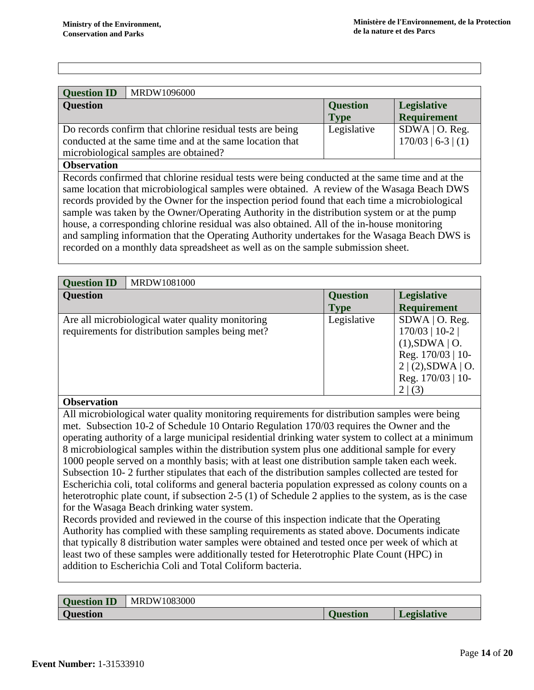| <b>Question ID</b> | MRDW1096000                                                                                                                                                    |                                |                                          |
|--------------------|----------------------------------------------------------------------------------------------------------------------------------------------------------------|--------------------------------|------------------------------------------|
| <b>Question</b>    |                                                                                                                                                                | <b>Question</b><br><b>Type</b> | <b>Legislative</b><br><b>Requirement</b> |
|                    | Do records confirm that chlorine residual tests are being<br>conducted at the same time and at the same location that<br>microbiological samples are obtained? | Legislative                    | $SDWA$   O. Reg.<br>$170/03$   6-3   (1) |

#### **Observation**

Records confirmed that chlorine residual tests were being conducted at the same time and at the same location that microbiological samples were obtained. A review of the Wasaga Beach DWS records provided by the Owner for the inspection period found that each time a microbiological sample was taken by the Owner/Operating Authority in the distribution system or at the pump house, a corresponding chlorine residual was also obtained. All of the in-house monitoring and sampling information that the Operating Authority undertakes for the Wasaga Beach DWS is recorded on a monthly data spreadsheet as well as on the sample submission sheet.

| <b>Question ID</b> | MRDW1081000                                                                                          |                                |                                                                                                                                    |
|--------------------|------------------------------------------------------------------------------------------------------|--------------------------------|------------------------------------------------------------------------------------------------------------------------------------|
| <b>Question</b>    |                                                                                                      | <b>Question</b><br><b>Type</b> | <b>Legislative</b><br><b>Requirement</b>                                                                                           |
|                    | Are all microbiological water quality monitoring<br>requirements for distribution samples being met? | Legislative                    | $SDWA$   O. Reg.<br>$170/03$   10-2  <br>$(1)$ , SDWA   O.<br>Reg. $170/03$   10-<br>2 (2),SDWA O.<br>Reg. $170/03$   10-<br>2 (3) |
| $\Omega$           |                                                                                                      |                                |                                                                                                                                    |

### **Observation**

All microbiological water quality monitoring requirements for distribution samples were being met. Subsection 10-2 of Schedule 10 Ontario Regulation 170/03 requires the Owner and the operating authority of a large municipal residential drinking water system to collect at a minimum 8 microbiological samples within the distribution system plus one additional sample for every 1000 people served on a monthly basis; with at least one distribution sample taken each week. Subsection 10- 2 further stipulates that each of the distribution samples collected are tested for Escherichia coli, total coliforms and general bacteria population expressed as colony counts on a heterotrophic plate count, if subsection 2-5 (1) of Schedule 2 applies to the system, as is the case for the Wasaga Beach drinking water system.

Records provided and reviewed in the course of this inspection indicate that the Operating Authority has complied with these sampling requirements as stated above. Documents indicate that typically 8 distribution water samples were obtained and tested once per week of which at least two of these samples were additionally tested for Heterotrophic Plate Count (HPC) in addition to Escherichia Coli and Total Coliform bacteria.

| <b>Ouestion</b> | 1083000<br>MRDW: |          |                    |
|-----------------|------------------|----------|--------------------|
| <b>Question</b> |                  | Juestion | <b>Legislative</b> |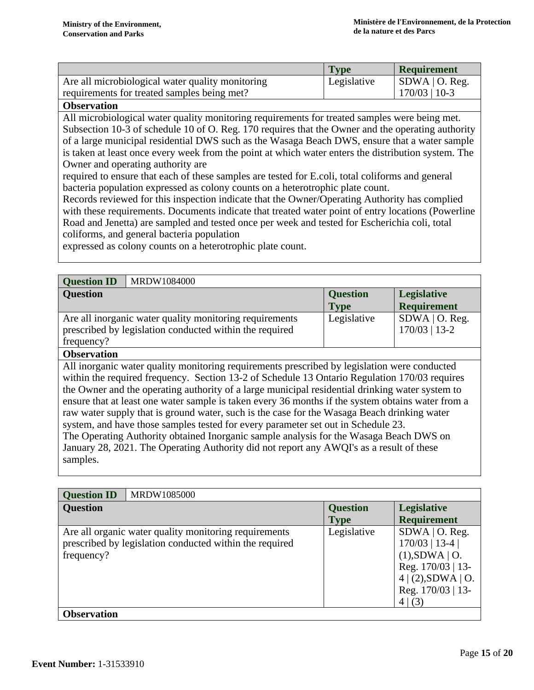|                                                  | <b>Type</b> | <b>Requirement</b>           |
|--------------------------------------------------|-------------|------------------------------|
| Are all microbiological water quality monitoring | Legislative | $\vert$ SDWA $\vert$ O. Reg. |
| requirements for treated samples being met?      |             | $170/03$   10-3              |
|                                                  |             |                              |

### **Observation**

All microbiological water quality monitoring requirements for treated samples were being met. Subsection 10-3 of schedule 10 of O. Reg. 170 requires that the Owner and the operating authority of a large municipal residential DWS such as the Wasaga Beach DWS, ensure that a water sample is taken at least once every week from the point at which water enters the distribution system. The Owner and operating authority are

required to ensure that each of these samples are tested for E.coli, total coliforms and general bacteria population expressed as colony counts on a heterotrophic plate count.

Records reviewed for this inspection indicate that the Owner/Operating Authority has complied with these requirements. Documents indicate that treated water point of entry locations (Powerline Road and Jenetta) are sampled and tested once per week and tested for Escherichia coli, total coliforms, and general bacteria population

expressed as colony counts on a heterotrophic plate count.

| MRDW1084000<br><b>Question ID</b>                                                            |                 |                    |  |
|----------------------------------------------------------------------------------------------|-----------------|--------------------|--|
| <b>Question</b>                                                                              | <b>Question</b> | <b>Legislative</b> |  |
|                                                                                              | <b>Type</b>     | <b>Requirement</b> |  |
| Are all inorganic water quality monitoring requirements                                      | Legislative     | $SDWA$   O. Reg.   |  |
| prescribed by legislation conducted within the required                                      |                 | 170/03   13-2      |  |
| frequency?                                                                                   |                 |                    |  |
| <b>Observation</b>                                                                           |                 |                    |  |
| All inorganic water quality monitoring requirements prescribed by legislation were conducted |                 |                    |  |

within the required frequency. Section 13-2 of Schedule 13 Ontario Regulation 170/03 requires the Owner and the operating authority of a large municipal residential drinking water system to ensure that at least one water sample is taken every 36 months if the system obtains water from a raw water supply that is ground water, such is the case for the Wasaga Beach drinking water system, and have those samples tested for every parameter set out in Schedule 23. The Operating Authority obtained Inorganic sample analysis for the Wasaga Beach DWS on January 28, 2021. The Operating Authority did not report any AWQI's as a result of these samples.

| MRDW1085000<br><b>Question ID</b>                                                                                              |                 |                                                                                                                                      |
|--------------------------------------------------------------------------------------------------------------------------------|-----------------|--------------------------------------------------------------------------------------------------------------------------------------|
| <b>Question</b>                                                                                                                | <b>Question</b> | <b>Legislative</b>                                                                                                                   |
|                                                                                                                                | <b>Type</b>     | <b>Requirement</b>                                                                                                                   |
| Are all organic water quality monitoring requirements<br>prescribed by legislation conducted within the required<br>frequency? | Legislative     | $SDWA$   O. Reg.<br>$170/03$   13-4  <br>$(1)$ , SDWA   O.<br>Reg. 170/03   13-<br>$4 (2)$ , SDWA   O.<br>Reg. 170/03   13-<br>4 (3) |
| <b>Observation</b>                                                                                                             |                 |                                                                                                                                      |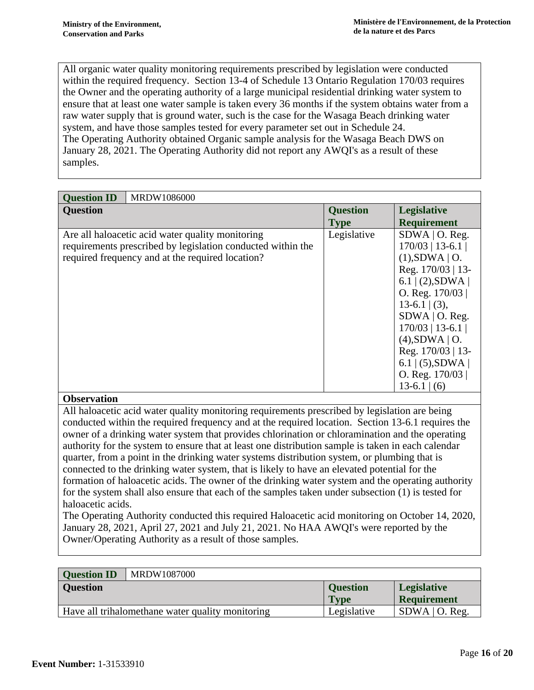All organic water quality monitoring requirements prescribed by legislation were conducted within the required frequency. Section 13-4 of Schedule 13 Ontario Regulation 170/03 requires the Owner and the operating authority of a large municipal residential drinking water system to ensure that at least one water sample is taken every 36 months if the system obtains water from a raw water supply that is ground water, such is the case for the Wasaga Beach drinking water system, and have those samples tested for every parameter set out in Schedule 24. The Operating Authority obtained Organic sample analysis for the Wasaga Beach DWS on January 28, 2021. The Operating Authority did not report any AWQI's as a result of these samples.

| <b>Ouestion ID</b><br>MRDW1086000                                                                                                                                                                                                                                                                                                                                                                                                                                                                                                                                                                                                                                                                                                                                                                                                                                                                                                                                                                                                                                                                                         |                                                                                                                                                                                                                                                                                          |                    |  |
|---------------------------------------------------------------------------------------------------------------------------------------------------------------------------------------------------------------------------------------------------------------------------------------------------------------------------------------------------------------------------------------------------------------------------------------------------------------------------------------------------------------------------------------------------------------------------------------------------------------------------------------------------------------------------------------------------------------------------------------------------------------------------------------------------------------------------------------------------------------------------------------------------------------------------------------------------------------------------------------------------------------------------------------------------------------------------------------------------------------------------|------------------------------------------------------------------------------------------------------------------------------------------------------------------------------------------------------------------------------------------------------------------------------------------|--------------------|--|
| <b>Question</b>                                                                                                                                                                                                                                                                                                                                                                                                                                                                                                                                                                                                                                                                                                                                                                                                                                                                                                                                                                                                                                                                                                           | <b>Question</b>                                                                                                                                                                                                                                                                          | <b>Legislative</b> |  |
|                                                                                                                                                                                                                                                                                                                                                                                                                                                                                                                                                                                                                                                                                                                                                                                                                                                                                                                                                                                                                                                                                                                           | <b>Type</b>                                                                                                                                                                                                                                                                              | <b>Requirement</b> |  |
| Are all haloacetic acid water quality monitoring<br>requirements prescribed by legislation conducted within the<br>required frequency and at the required location?                                                                                                                                                                                                                                                                                                                                                                                                                                                                                                                                                                                                                                                                                                                                                                                                                                                                                                                                                       | Legislative<br>$SDWA$   O. Reg.<br>$170/03$   13-6.1  <br>$(1)$ , SDWA   O.<br>Reg. 170/03   13-<br>6.1   (2), SDWA  <br>O. Reg. $170/03$<br>$13-6.1$ (3),<br>$SDWA$   O. Reg.<br>$170/03$   13-6.1  <br>$(4)$ , SDWA   O.<br>Reg. 170/03   13-<br>$6.1$   (5), SDWA  <br>O. Reg. 170/03 |                    |  |
|                                                                                                                                                                                                                                                                                                                                                                                                                                                                                                                                                                                                                                                                                                                                                                                                                                                                                                                                                                                                                                                                                                                           |                                                                                                                                                                                                                                                                                          | $13-6.1$ (6)       |  |
| <b>Observation</b><br>All haloacetic acid water quality monitoring requirements prescribed by legislation are being<br>conducted within the required frequency and at the required location. Section 13-6.1 requires the<br>owner of a drinking water system that provides chlorination or chloramination and the operating<br>authority for the system to ensure that at least one distribution sample is taken in each calendar<br>quarter, from a point in the drinking water systems distribution system, or plumbing that is<br>connected to the drinking water system, that is likely to have an elevated potential for the<br>formation of haloacetic acids. The owner of the drinking water system and the operating authority<br>for the system shall also ensure that each of the samples taken under subsection (1) is tested for<br>haloacetic acids.<br>The Operating Authority conducted this required Haloacetic acid monitoring on October 14, 2020,<br>January 28, 2021, April 27, 2021 and July 21, 2021. No HAA AWQI's were reported by the<br>Owner/Operating Authority as a result of those samples. |                                                                                                                                                                                                                                                                                          |                    |  |

| <b>Question ID</b> | MRDW1087000                                      |                 |                    |
|--------------------|--------------------------------------------------|-----------------|--------------------|
| <b>Question</b>    |                                                  | <b>Question</b> | <b>Legislative</b> |
|                    |                                                  | <b>Type</b>     | <b>Requirement</b> |
|                    | Have all trihalomethane water quality monitoring | Legislative     | $SDWA$   O. Reg.   |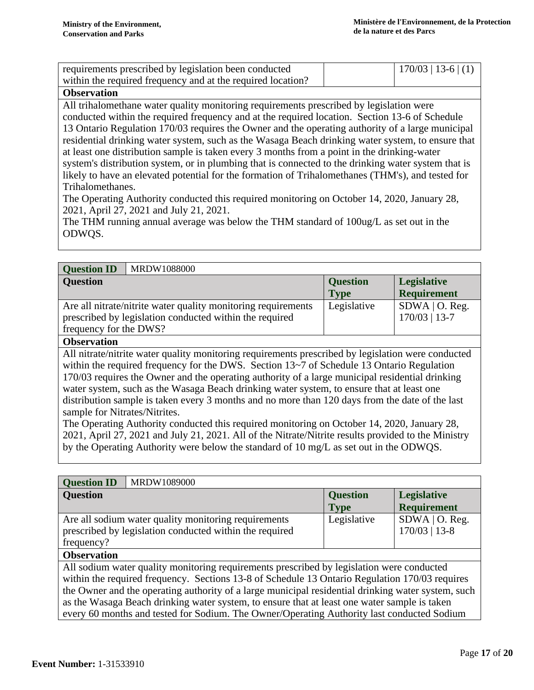| requirements prescribed by legislation been conducted       | $170/03$   13-6   (1) |
|-------------------------------------------------------------|-----------------------|
| within the required frequency and at the required location? |                       |

## **Observation**

All trihalomethane water quality monitoring requirements prescribed by legislation were conducted within the required frequency and at the required location. Section 13-6 of Schedule 13 Ontario Regulation 170/03 requires the Owner and the operating authority of a large municipal residential drinking water system, such as the Wasaga Beach drinking water system, to ensure that at least one distribution sample is taken every 3 months from a point in the drinking-water system's distribution system, or in plumbing that is connected to the drinking water system that is likely to have an elevated potential for the formation of Trihalomethanes (THM's), and tested for Trihalomethanes.

The Operating Authority conducted this required monitoring on October 14, 2020, January 28, 2021, April 27, 2021 and July 21, 2021.

The THM running annual average was below the THM standard of 100ug/L as set out in the ODWQS.

| MRDW1088000<br><b>Question ID</b>                             |                 |                    |
|---------------------------------------------------------------|-----------------|--------------------|
| <b>Question</b>                                               | <b>Question</b> | <b>Legislative</b> |
|                                                               | <b>Type</b>     | <b>Requirement</b> |
| Are all nitrate/nitrite water quality monitoring requirements | Legislative     | $SDWA$   O. Reg.   |
| prescribed by legislation conducted within the required       |                 | $170/03$   13-7    |
| frequency for the DWS?                                        |                 |                    |
| $\mathbf{a}$                                                  |                 |                    |

### **Observation**

All nitrate/nitrite water quality monitoring requirements prescribed by legislation were conducted within the required frequency for the DWS. Section 13~7 of Schedule 13 Ontario Regulation 170/03 requires the Owner and the operating authority of a large municipal residential drinking water system, such as the Wasaga Beach drinking water system, to ensure that at least one distribution sample is taken every 3 months and no more than 120 days from the date of the last sample for Nitrates/Nitrites.

The Operating Authority conducted this required monitoring on October 14, 2020, January 28, 2021, April 27, 2021 and July 21, 2021. All of the Nitrate/Nitrite results provided to the Ministry by the Operating Authority were below the standard of 10 mg/L as set out in the ODWQS.

| <b>Question ID</b>                                                                                 | MRDW1089000                                          |                 |                    |
|----------------------------------------------------------------------------------------------------|------------------------------------------------------|-----------------|--------------------|
| <b>Question</b>                                                                                    |                                                      | <b>Question</b> | <b>Legislative</b> |
|                                                                                                    |                                                      | <b>Type</b>     | <b>Requirement</b> |
|                                                                                                    | Are all sodium water quality monitoring requirements | Legislative     | $SDWA$   O. Reg.   |
| prescribed by legislation conducted within the required                                            |                                                      |                 | $170/03$   13-8    |
| frequency?                                                                                         |                                                      |                 |                    |
| <b>Observation</b>                                                                                 |                                                      |                 |                    |
| All sodium water quality monitoring requirements prescribed by legislation were conducted          |                                                      |                 |                    |
| within the required frequency. Sections 13-8 of Schedule 13 Ontario Regulation 170/03 requires     |                                                      |                 |                    |
| the Owner and the operating authority of a large municipal residential drinking water system, such |                                                      |                 |                    |
| as the Wasaga Beach drinking water system, to ensure that at least one water sample is taken       |                                                      |                 |                    |
| every 60 months and tested for Sodium. The Owner/Operating Authority last conducted Sodium         |                                                      |                 |                    |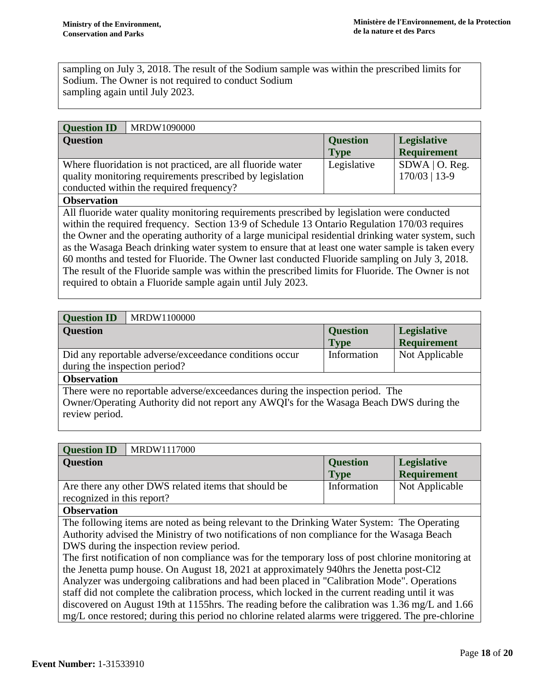sampling on July 3, 2018. The result of the Sodium sample was within the prescribed limits for Sodium. The Owner is not required to conduct Sodium sampling again until July 2023.

| <b>Question ID</b>                                          | MRDW1090000 |                 |                    |
|-------------------------------------------------------------|-------------|-----------------|--------------------|
| <b>Question</b>                                             |             | <b>Question</b> | <b>Legislative</b> |
|                                                             |             | <b>Type</b>     | <b>Requirement</b> |
| Where fluoridation is not practiced, are all fluoride water |             | Legislative     | $SDWA$   O. Reg.   |
| quality monitoring requirements prescribed by legislation   |             |                 | $170/03$   13-9    |
| conducted within the required frequency?                    |             |                 |                    |
| <b>Ohservation</b>                                          |             |                 |                    |

### **Observation**

All fluoride water quality monitoring requirements prescribed by legislation were conducted within the required frequency. Section 13·9 of Schedule 13 Ontario Regulation 170/03 requires the Owner and the operating authority of a large municipal residential drinking water system, such as the Wasaga Beach drinking water system to ensure that at least one water sample is taken every 60 months and tested for Fluoride. The Owner last conducted Fluoride sampling on July 3, 2018. The result of the Fluoride sample was within the prescribed limits for Fluoride. The Owner is not required to obtain a Fluoride sample again until July 2023.

| <b>Question ID</b><br>MRDW1100000                                                                                                                                                           |                 |                    |
|---------------------------------------------------------------------------------------------------------------------------------------------------------------------------------------------|-----------------|--------------------|
| <b>Question</b>                                                                                                                                                                             | <b>Question</b> | <b>Legislative</b> |
|                                                                                                                                                                                             | <b>Type</b>     | <b>Requirement</b> |
| Did any reportable adverse/exceedance conditions occur                                                                                                                                      | Information     | Not Applicable     |
| during the inspection period?                                                                                                                                                               |                 |                    |
| <b>Observation</b>                                                                                                                                                                          |                 |                    |
| There were no reportable adverse/exceedances during the inspection period. The<br>Owner/Operating Authority did not report any AWQI's for the Wasaga Beach DWS during the<br>review period. |                 |                    |

| <b>Question ID</b><br>MRDW1117000                    |                 |                    |  |
|------------------------------------------------------|-----------------|--------------------|--|
| <b>Question</b>                                      | <b>Question</b> | <b>Legislative</b> |  |
|                                                      | <b>Type</b>     | <b>Requirement</b> |  |
| Are there any other DWS related items that should be | Information     | Not Applicable     |  |
| recognized in this report?                           |                 |                    |  |
| <b>Observation</b>                                   |                 |                    |  |

### **Observation**

The following items are noted as being relevant to the Drinking Water System: The Operating Authority advised the Ministry of two notifications of non compliance for the Wasaga Beach DWS during the inspection review period.

The first notification of non compliance was for the temporary loss of post chlorine monitoring at the Jenetta pump house. On August 18, 2021 at approximately 940hrs the Jenetta post-Cl2 Analyzer was undergoing calibrations and had been placed in "Calibration Mode". Operations staff did not complete the calibration process, which locked in the current reading until it was discovered on August 19th at 1155hrs. The reading before the calibration was 1.36 mg/L and 1.66 mg/L once restored; during this period no chlorine related alarms were triggered. The pre-chlorine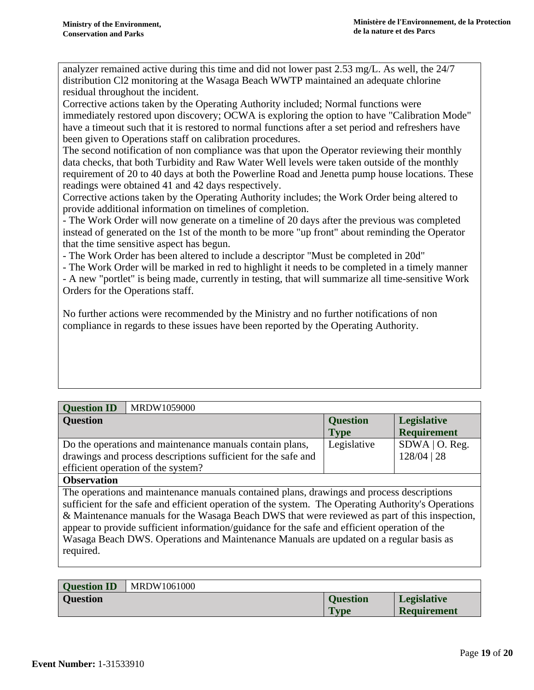analyzer remained active during this time and did not lower past 2.53 mg/L. As well, the 24/7 distribution Cl2 monitoring at the Wasaga Beach WWTP maintained an adequate chlorine residual throughout the incident.

Corrective actions taken by the Operating Authority included; Normal functions were immediately restored upon discovery; OCWA is exploring the option to have "Calibration Mode" have a timeout such that it is restored to normal functions after a set period and refreshers have been given to Operations staff on calibration procedures.

The second notification of non compliance was that upon the Operator reviewing their monthly data checks, that both Turbidity and Raw Water Well levels were taken outside of the monthly requirement of 20 to 40 days at both the Powerline Road and Jenetta pump house locations. These readings were obtained 41 and 42 days respectively.

Corrective actions taken by the Operating Authority includes; the Work Order being altered to provide additional information on timelines of completion.

- The Work Order will now generate on a timeline of 20 days after the previous was completed instead of generated on the 1st of the month to be more "up front" about reminding the Operator that the time sensitive aspect has begun.

- The Work Order has been altered to include a descriptor "Must be completed in 20d"

- The Work Order will be marked in red to highlight it needs to be completed in a timely manner - A new "portlet" is being made, currently in testing, that will summarize all time-sensitive Work Orders for the Operations staff.

No further actions were recommended by the Ministry and no further notifications of non compliance in regards to these issues have been reported by the Operating Authority.

| <b>Question ID</b>                                            | MRDW1059000 |                 |                    |
|---------------------------------------------------------------|-------------|-----------------|--------------------|
| <b>Question</b>                                               |             | <b>Question</b> | <b>Legislative</b> |
|                                                               |             | <b>Type</b>     | <b>Requirement</b> |
| Do the operations and maintenance manuals contain plans,      |             | Legislative     | $SDWA$   O. Reg.   |
| drawings and process descriptions sufficient for the safe and |             |                 | $128/04$   28      |
| efficient operation of the system?                            |             |                 |                    |
|                                                               |             |                 |                    |

### **Observation**

The operations and maintenance manuals contained plans, drawings and process descriptions sufficient for the safe and efficient operation of the system. The Operating Authority's Operations & Maintenance manuals for the Wasaga Beach DWS that were reviewed as part of this inspection, appear to provide sufficient information/guidance for the safe and efficient operation of the Wasaga Beach DWS. Operations and Maintenance Manuals are updated on a regular basis as required.

| <b>Ouestion ID</b> | MRDW1061000 |                 |                    |
|--------------------|-------------|-----------------|--------------------|
| <b>Ouestion</b>    |             | <b>Ouestion</b> | <b>Legislative</b> |
|                    |             | <b>Type</b>     | <b>Requirement</b> |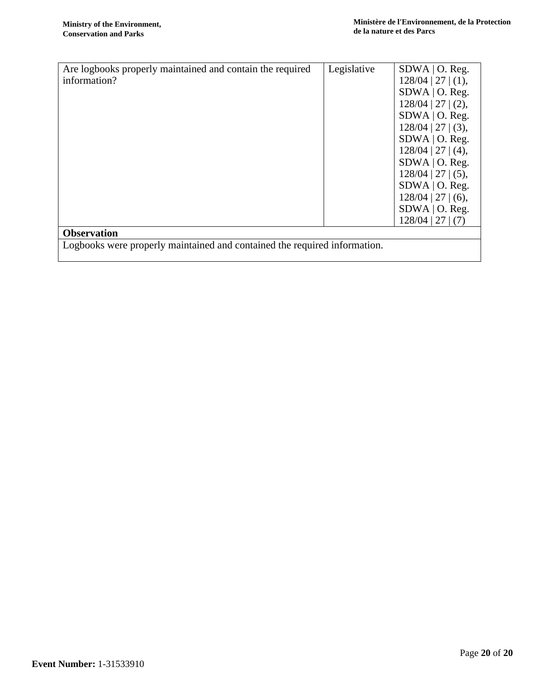| Are logbooks properly maintained and contain the required                 | Legislative | $SDWA$   O. Reg.     |
|---------------------------------------------------------------------------|-------------|----------------------|
| information?                                                              |             | $128/04$   27   (1), |
|                                                                           |             | $SDWA$   O. Reg.     |
|                                                                           |             | $128/04$   27   (2), |
|                                                                           |             | $SDWA$   O. Reg.     |
|                                                                           |             | $128/04$   27   (3), |
|                                                                           |             | $SDWA$   O. Reg.     |
|                                                                           |             | $128/04$   27   (4), |
|                                                                           |             | $SDWA$   O. Reg.     |
|                                                                           |             | $128/04$   27   (5), |
|                                                                           |             | $SDWA$   O. Reg.     |
|                                                                           |             | $128/04$   27   (6), |
|                                                                           |             | $SDWA$   O. Reg.     |
|                                                                           |             | $128/04$   27   (7)  |
| <b>Observation</b>                                                        |             |                      |
| Logbooks were properly maintained and contained the required information. |             |                      |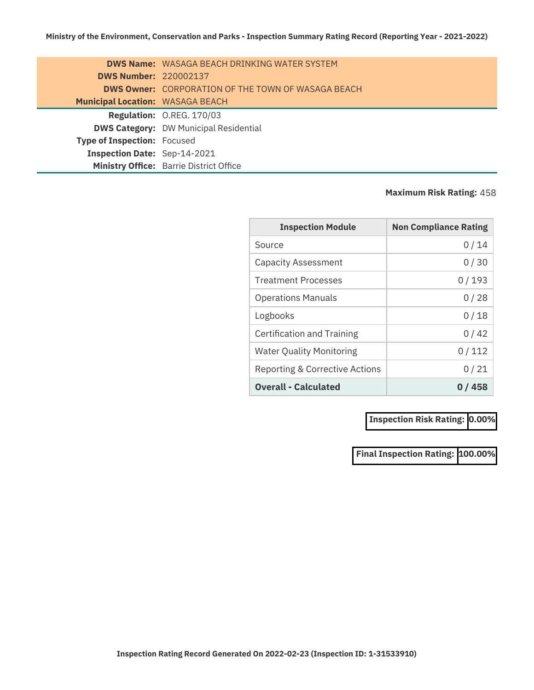|                                         | <b>DWS Name:</b> WASAGA BEACH DRINKING WATER SYSTEM       |
|-----------------------------------------|-----------------------------------------------------------|
| <b>DWS Number: 220002137</b>            |                                                           |
|                                         | <b>DWS Owner: CORPORATION OF THE TOWN OF WASAGA BEACH</b> |
| <b>Municipal Location: WASAGA BEACH</b> |                                                           |
|                                         | Regulation: O.REG. 170/03                                 |
|                                         | <b>DWS Category: DW Municipal Residential</b>             |
| <b>Type of Inspection: Focused</b>      |                                                           |
| Inspection Date: Sep-14-2021            |                                                           |
|                                         | Ministry Office: Barrie District Office                   |

#### **Maximum Risk Rating:** 458

| <b>Inspection Module</b>        | <b>Non Compliance Rating</b> |
|---------------------------------|------------------------------|
| Source                          | 0 / 14                       |
| <b>Capacity Assessment</b>      | 0/30                         |
| <b>Treatment Processes</b>      | 0/193                        |
| <b>Operations Manuals</b>       | 0/28                         |
| Logbooks                        | 0/18                         |
| Certification and Training      | 0 / 42                       |
| <b>Water Quality Monitoring</b> | 0/112                        |
| Reporting & Corrective Actions  | 0/21                         |
| <b>Overall - Calculated</b>     | 0 / 458                      |

**Inspection Risk Rating: 0.00%**

**Final Inspection Rating: 100.00%**